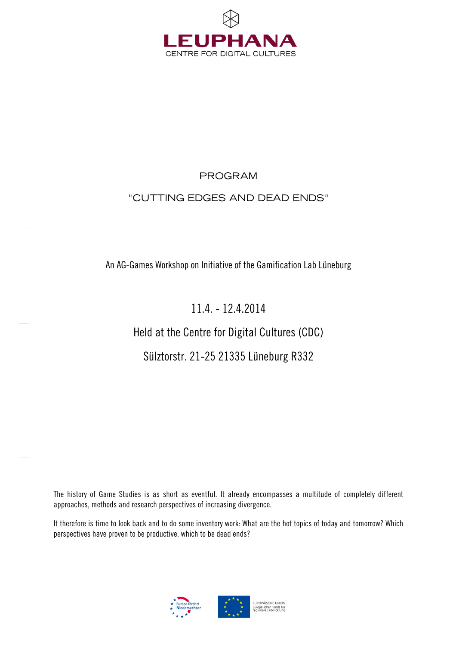

# PROGRAM

# "CUTTING EDGES AND DEAD ENDS"

# An AG-Games Workshop on Initiative of the Gamification Lab Lüneburg

# 11.4. - 12.4.2014

# Held at the Centre for Digital Cultures (CDC)

# Sülztorstr. 21-25 21335 Lüneburg R332

The history of Game Studies is as short as eventful. It already encompasses a multitude of completely different approaches, methods and research perspectives of increasing divergence.

It therefore is time to look back and to do some inventory work: What are the hot topics of today and tomorrow? Which perspectives have proven to be productive, which to be dead ends?

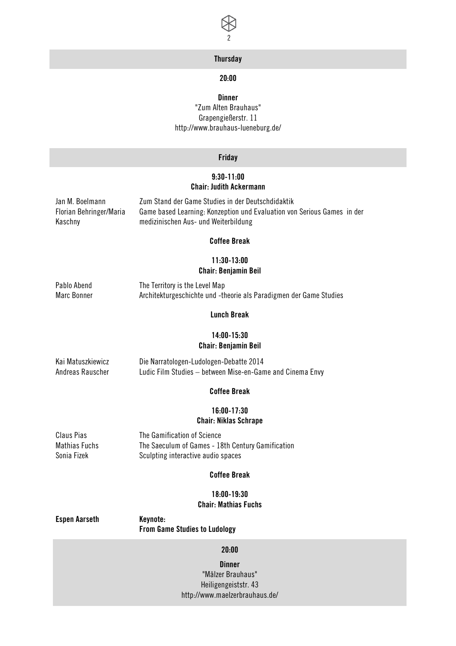

# **Thursday**

# 20:00

# **Dinner**

"Zum Alten Brauhaus" Grapengießerstr. 11 http://www.brauhaus-lueneburg.de/

#### Friday

## 9:30-11:00 Chair: Judith Ackermann

Jan M. Boelmann Zum Stand der Game Studies in der Deutschdidaktik Florian Behringer/Maria Kaschny Game based Learning: Konzeption und Evaluation von Serious Games in der medizinischen Aus- und Weiterbildung

#### Coffee Break

# 11:30-13:00 Chair: Benjamin Beil

Pablo Abend The Territory is the Level Map Marc Bonner **Architekturgeschichte und -theorie als Paradigmen der Game Studies** 

#### Lunch Break

### 14:00-15:30 Chair: Benjamin Beil

# Kai Matuszkiewicz Die Narratologen-Ludologen-Debatte 2014 Andreas Rauscher Ludic Film Studies – between Mise-en-Game and Cinema Envy

#### Coffee Break

#### 16:00-17:30 Chair: Niklas Schrape

Claus Pias The Gamification of Science Mathias Fuchs The Saeculum of Games - 18th Century Gamification Sonia Fizek Sculpting interactive audio spaces

#### Coffee Break

# 18:00-19:30 Chair: Mathias Fuchs

#### Espen Aarseth Keynote: From Game Studies to Ludology

#### 20:00

**Dinner** "Mälzer Brauhaus" Heiligengeiststr. 43 http://www.maelzerbrauhaus.de/